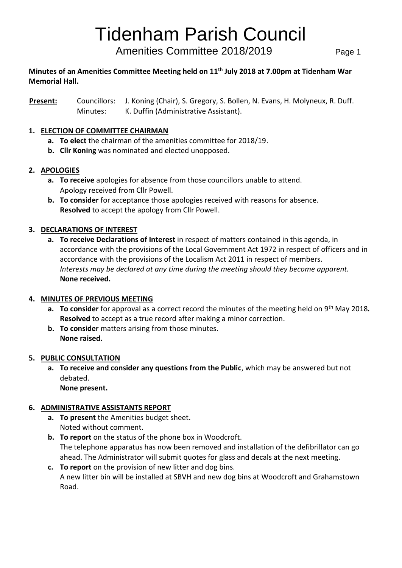## Tidenham Parish Council

Amenities Committee 2018/2019 Page 1

#### **Minutes of an Amenities Committee Meeting held on 11th July 2018 at 7.00pm at Tidenham War Memorial Hall.**

**Present:** Councillors: J. Koning (Chair), S. Gregory, S. Bollen, N. Evans, H. Molyneux, R. Duff. Minutes: K. Duffin (Administrative Assistant).

#### **1. ELECTION OF COMMITTEE CHAIRMAN**

- **a. To elect** the chairman of the amenities committee for 2018/19.
- **b. Cllr Koning** was nominated and elected unopposed.

#### **2. APOLOGIES**

- **a. To receive** apologies for absence from those councillors unable to attend. Apology received from Cllr Powell.
- **b. To consider** for acceptance those apologies received with reasons for absence. **Resolved** to accept the apology from Cllr Powell.

#### **3. DECLARATIONS OF INTEREST**

**a. To receive Declarations of Interest** in respect of matters contained in this agenda, in accordance with the provisions of the Local Government Act 1972 in respect of officers and in accordance with the provisions of the Localism Act 2011 in respect of members. *Interests may be declared at any time during the meeting should they become apparent.* **None received.**

#### **4. MINUTES OF PREVIOUS MEETING**

- **a. To consider** for approval as a correct record the minutes of the meeting held on 9th May 2018*.* **Resolved** to accept as a true record after making a minor correction.
- **b. To consider** matters arising from those minutes. **None raised.**

#### **5. PUBLIC CONSULTATION**

**a. To receive and consider any questions from the Public**, which may be answered but not debated.

**None present.**

#### **6. ADMINISTRATIVE ASSISTANTS REPORT**

- **a. To present** the Amenities budget sheet. Noted without comment.
- **b. To report** on the status of the phone box in Woodcroft. The telephone apparatus has now been removed and installation of the defibrillator can go ahead. The Administrator will submit quotes for glass and decals at the next meeting.
- **c. To report** on the provision of new litter and dog bins. A new litter bin will be installed at SBVH and new dog bins at Woodcroft and Grahamstown Road.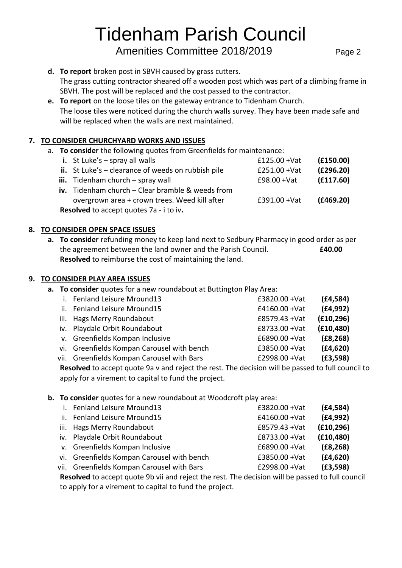# Tidenham Parish Council

Amenities Committee 2018/2019 Page 2

- **d. To report** broken post in SBVH caused by grass cutters. The grass cutting contractor sheared off a wooden post which was part of a climbing frame in SBVH. The post will be replaced and the cost passed to the contractor.
- **e. To report** on the loose tiles on the gateway entrance to Tidenham Church. The loose tiles were noticed during the church walls survey. They have been made safe and will be replaced when the walls are next maintained.

#### **7. TO CONSIDER CHURCHYARD WORKS AND ISSUES**

a. **To consider** the following quotes from Greenfields for maintenance:

| (E150.00)                                      |  |  |  |  |  |  |  |
|------------------------------------------------|--|--|--|--|--|--|--|
|                                                |  |  |  |  |  |  |  |
| (E296.20)                                      |  |  |  |  |  |  |  |
| (E117.60)                                      |  |  |  |  |  |  |  |
|                                                |  |  |  |  |  |  |  |
| (E469.20)                                      |  |  |  |  |  |  |  |
| <b>Resolved</b> to accept quotes 7a - i to iv. |  |  |  |  |  |  |  |
|                                                |  |  |  |  |  |  |  |

#### **8. TO CONSIDER OPEN SPACE ISSUES**

**a. To consider** refunding money to keep land next to Sedbury Pharmacy in good order as per the agreement between the land owner and the Parish Council. **£40.00 Resolved** to reimburse the cost of maintaining the land.

#### **9. TO CONSIDER PLAY AREA ISSUES**

**a. To consider** quotes for a new roundabout at Buttington Play Area:

| i. Fenland Leisure Mround13                | £3820.00 + Vat   | (E4, 584)  |
|--------------------------------------------|------------------|------------|
| ii. Fenland Leisure Mround15               | $£4160.00 + Vat$ | (E4, 992)  |
| iii. Hags Merry Roundabout                 | £8579.43 + Vat   | (E10, 296) |
| iv. Playdale Orbit Roundabout              | £8733.00 + Vat   | (E10, 480) |
| v. Greenfields Kompan Inclusive            | $£6890.00 + Vat$ | (E8, 268)  |
| vi. Greenfields Kompan Carousel with bench | £3850.00 + Vat   | (E4, 620)  |
| vii. Greenfields Kompan Carousel with Bars | £2998.00 + Vat   | (E3, 598)  |
|                                            |                  |            |

**Resolved** to accept quote 9a v and reject the rest. The decision will be passed to full council to apply for a virement to capital to fund the project.

#### **b. To consider** quotes for a new roundabout at Woodcroft play area:

| i. Fenland Leisure Mround13                | $£3820.00 + Vat$ | (E4, 584)  |
|--------------------------------------------|------------------|------------|
| ii. Fenland Leisure Mround15               | $£4160.00 + Vat$ | (E4, 992)  |
| iii. Hags Merry Roundabout                 | £8579.43 + Vat   | (E10, 296) |
| iv. Playdale Orbit Roundabout              | £8733.00 + Vat   | (E10, 480) |
| v. Greenfields Kompan Inclusive            | $£6890.00 + Vat$ | (E8, 268)  |
| vi. Greenfields Kompan Carousel with bench | $£3850.00 + Vat$ | (E4, 620)  |
| vii. Greenfields Kompan Carousel with Bars | £2998.00 + Vat   | (E3, 598)  |
|                                            |                  |            |

**Resolved** to accept quote 9b vii and reject the rest. The decision will be passed to full council to apply for a virement to capital to fund the project.